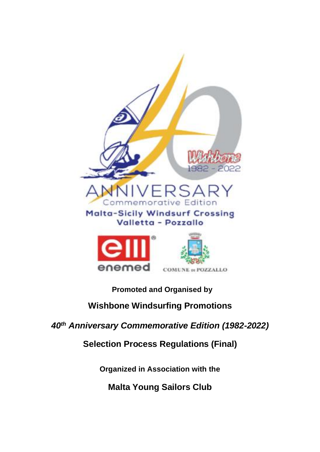

# **Promoted and Organised by**

# **Wishbone Windsurfing Promotions**

*40th Anniversary Commemorative Edition (1982-2022)*

**Selection Process Regulations (Final)**

**Organized in Association with the**

**Malta Young Sailors Club**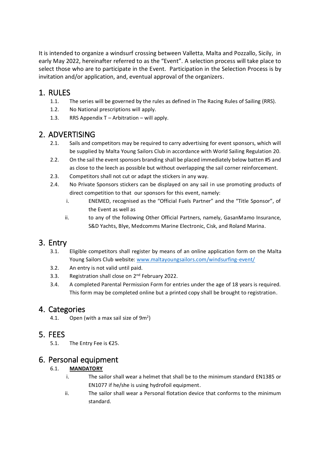It is intended to organize a windsurf crossing between Valletta, Malta and Pozzallo, Sicily, in early May 2022, hereinafter referred to as the "Event". A selection process will take place to select those who are to participate in the Event. Participation in the Selection Process is by invitation and/or application, and, eventual approval of the organizers.

## 1. RULES

- 1.1. The series will be governed by the rules as defined in The Racing Rules of Sailing (RRS).
- 1.2. No National prescriptions will apply.
- 1.3. RRS Appendix T Arbitration will apply.

## 2. ADVERTISING

- 2.1. Sails and competitors may be required to carry advertising for event sponsors, which will be supplied by Malta Young Sailors Club in accordance with World Sailing Regulation 20.
- 2.2. On the sail the event sponsors branding shall be placed immediately below batten #5 and as close to the leech as possible but without overlapping the sail corner reinforcement.
- 2.3. Competitors shall not cut or adapt the stickers in any way.
- 2.4. No Private Sponsors stickers can be displayed on any sail in use promoting products of direct competition to that our sponsors for this event, namely:
	- i. ENEMED, recognised as the "Official Fuels Partner" and the "Title Sponsor", of the Event as well as
	- ii. to any of the following Other Official Partners, namely, GasanMamo Insurance, S&D Yachts, Blye, Medcomms Marine Electronic, Cisk, and Roland Marina.

# 3. Entry

- 3.1. Eligible competitors shall register by means of an online application form on the Malta Young Sailors Club website: [www.maltayoungsailors.com/](http://www.maltayoungsailors.com/)windsurfing-event/
- 3.2. An entry is not valid until paid.
- 3.3. Registration shall close on 2<sup>nd</sup> February 2022.
- 3.4. A completed Parental Permission Form for entries under the age of 18 years is required. This form may be completed online but a printed copy shall be brought to registration.

## 4. Categories

4.1. Open (with a max sail size of  $9m^2$ )

## 5. FEES

5.1. The Entry Fee is €25.

## 6. Personal equipment

### 6.1. **MANDATORY**

- i. The sailor shall wear a helmet that shall be to the minimum standard EN1385 or EN1077 if he/she is using hydrofoil equipment.
- ii. The sailor shall wear a Personal flotation device that conforms to the minimum standard.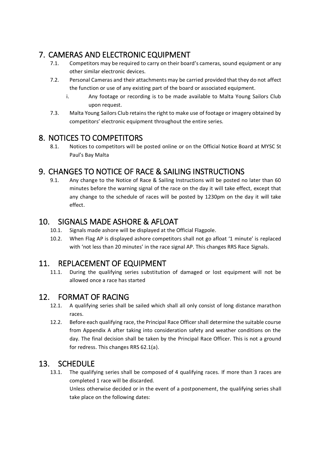# 7. CAMERAS AND ELECTRONIC EQUIPMENT

- 7.1. Competitors may be required to carry on their board's cameras, sound equipment or any other similar electronic devices.
- 7.2. Personal Cameras and their attachments may be carried provided that they do not affect the function or use of any existing part of the board or associated equipment.
	- i. Any footage or recording is to be made available to Malta Young Sailors Club upon request.
- 7.3. Malta Young Sailors Club retains the right to make use of footage or imagery obtained by competitors' electronic equipment throughout the entire series.

## 8. NOTICES TO COMPETITORS

8.1. Notices to competitors will be posted online or on the Official Notice Board at MYSC St Paul's Bay Malta

## 9. CHANGES TO NOTICE OF RACE & SAILING INSTRUCTIONS

9.1. Any change to the Notice of Race & Sailing Instructions will be posted no later than 60 minutes before the warning signal of the race on the day it will take effect, except that any change to the schedule of races will be posted by 1230pm on the day it will take effect.

### 10. SIGNALS MADE ASHORE & AFLOAT

- 10.1. Signals made ashore will be displayed at the Official Flagpole.
- 10.2. When Flag AP is displayed ashore competitors shall not go afloat '1 minute' is replaced with 'not less than 20 minutes' in the race signal AP. This changes RRS Race Signals.

## 11. REPLACEMENT OF EQUIPMENT

11.1. During the qualifying series substitution of damaged or lost equipment will not be allowed once a race has started

## 12. FORMAT OF RACING

- 12.1. A qualifying series shall be sailed which shall all only consist of long distance marathon races.
- 12.2. Before each qualifying race, the Principal Race Officer shall determine the suitable course from Appendix A after taking into consideration safety and weather conditions on the day. The final decision shall be taken by the Principal Race Officer. This is not a ground for redress. This changes RRS 62.1(a).

### 13. SCHEDULE

13.1. The qualifying series shall be composed of 4 qualifying races. If more than 3 races are completed 1 race will be discarded.

Unless otherwise decided or in the event of a postponement, the qualifying series shall take place on the following dates: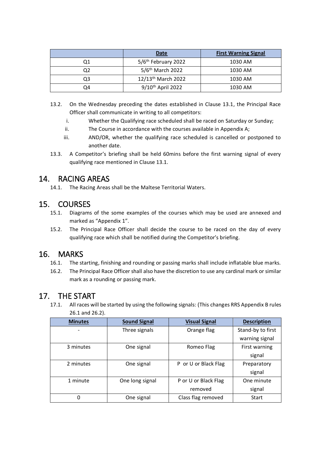|    | <b>First Warning Signal</b><br>Date |         |
|----|-------------------------------------|---------|
| Q1 | 5/6 <sup>th</sup> February 2022     | 1030 AM |
|    | 5/6 <sup>th</sup> March 2022        | 1030 AM |
| Q3 | 12/13 <sup>th</sup> March 2022      | 1030 AM |
| O4 | 9/10 <sup>th</sup> April 2022       | 1030 AM |

- 13.2. On the Wednesday preceding the dates established in Clause 13.1, the Principal Race Officer shall communicate in writing to all competitors:
	- i. Whether the Qualifying race scheduled shall be raced on Saturday or Sunday;
	- ii. The Course in accordance with the courses available in Appendix A;
	- iii. AND/OR, whether the qualifying race scheduled is cancelled or postponed to another date.
- 13.3. A Competitor's briefing shall be held 60mins before the first warning signal of every qualifying race mentioned in Clause 13.1.

### 14. RACING AREAS

14.1. The Racing Areas shall be the Maltese Territorial Waters.

### 15. COURSES

- 15.1. Diagrams of the some examples of the courses which may be used are annexed and marked as "Appendix 1".
- 15.2. The Principal Race Officer shall decide the course to be raced on the day of every qualifying race which shall be notified during the Competitor's briefing.

### 16. MARKS

- 16.1. The starting, finishing and rounding or passing marks shall include inflatable blue marks.
- 16.2. The Principal Race Officer shall also have the discretion to use any cardinal mark or similar mark as a rounding or passing mark.

### 17. THE START

17.1. All races will be started by using the following signals: (This changes RRS Appendix B rules 26.1 and 26.2).

| <b>Minutes</b> | <b>Sound Signal</b> | <b>Visual Signal</b> | <b>Description</b> |
|----------------|---------------------|----------------------|--------------------|
|                | Three signals       | Orange flag          | Stand-by to first  |
|                |                     |                      | warning signal     |
| 3 minutes      | One signal          | Romeo Flag           | First warning      |
|                |                     |                      | signal             |
| 2 minutes      | One signal          | P or U or Black Flag | Preparatory        |
|                |                     |                      | signal             |
| 1 minute       | One long signal     | P or U or Black Flag | One minute         |
|                |                     | removed              | signal             |
| 0              | One signal          | Class flag removed   | Start              |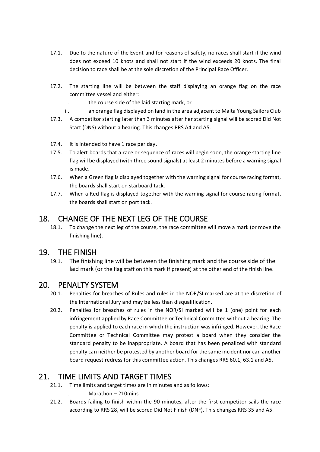- 17.1. Due to the nature of the Event and for reasons of safety, no races shall start if the wind does not exceed 10 knots and shall not start if the wind exceeds 20 knots. The final decision to race shall be at the sole discretion of the Principal Race Officer.
- 17.2. The starting line will be between the staff displaying an orange flag on the race committee vessel and either:
	- i. the course side of the laid starting mark, or
	- ii. an orange flag displayed on land in the area adjacent to Malta Young Sailors Club
- 17.3. A competitor starting later than 3 minutes after her starting signal will be scored Did Not Start (DNS) without a hearing. This changes RRS A4 and A5.
- 17.4. It is intended to have 1 race per day.
- 17.5. To alert boards that a race or sequence of races will begin soon, the orange starting line flag will be displayed (with three sound signals) at least 2 minutes before a warning signal is made.
- 17.6. When a Green flag is displayed together with the warning signal for course racing format, the boards shall start on starboard tack.
- 17.7. When a Red flag is displayed together with the warning signal for course racing format, the boards shall start on port tack.

## 18. CHANGE OF THE NEXT LEG OF THE COURSE

18.1. To change the next leg of the course, the race committee will move a mark (or move the finishing line).

### 19. THE FINISH

19.1. The finishing line will be between the finishing mark and the course side of the laid mark (or the flag staff on this mark if present) at the other end of the finish line.

### 20. PENALTY SYSTEM

- 20.1. Penalties for breaches of Rules and rules in the NOR/SI marked are at the discretion of the International Jury and may be less than disqualification.
- 20.2. Penalties for breaches of rules in the NOR/SI marked will be 1 (one) point for each infringement applied by Race Committee or Technical Committee without a hearing. The penalty is applied to each race in which the instruction was infringed. However, the Race Committee or Technical Committee may protest a board when they consider the standard penalty to be inappropriate. A board that has been penalized with standard penalty can neither be protested by another board for the same incident nor can another board request redress for this committee action. This changes RRS 60.1, 63.1 and A5.

## 21. TIME LIMITS AND TARGET TIMES

- 21.1. Time limits and target times are in minutes and as follows:
	- i. Marathon 210mins
- 21.2. Boards failing to finish within the 90 minutes, after the first competitor sails the race according to RRS 28, will be scored Did Not Finish (DNF). This changes RRS 35 and A5.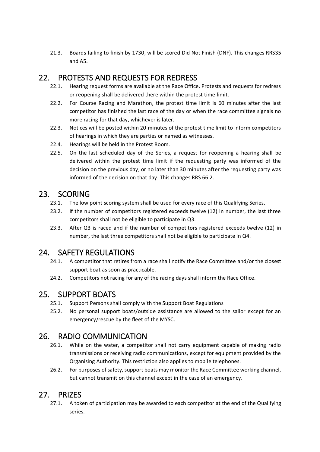21.3. Boards failing to finish by 1730, will be scored Did Not Finish (DNF). This changes RRS35 and A5.

## 22. PROTESTS AND REQUESTS FOR REDRESS

- 22.1. Hearing request forms are available at the Race Office. Protests and requests for redress or reopening shall be delivered there within the protest time limit.
- 22.2. For Course Racing and Marathon, the protest time limit is 60 minutes after the last competitor has finished the last race of the day or when the race committee signals no more racing for that day, whichever is later.
- 22.3. Notices will be posted within 20 minutes of the protest time limit to inform competitors of hearings in which they are parties or named as witnesses.
- 22.4. Hearings will be held in the Protest Room.
- 22.5. On the last scheduled day of the Series, a request for reopening a hearing shall be delivered within the protest time limit if the requesting party was informed of the decision on the previous day, or no later than 30 minutes after the requesting party was informed of the decision on that day. This changes RRS 66.2.

## 23. SCORING

- 23.1. The low point scoring system shall be used for every race of this Qualifying Series.
- 23.2. If the number of competitors registered exceeds twelve (12) in number, the last three competitors shall not be eligible to participate in Q3.
- 23.3. After Q3 is raced and if the number of competitors registered exceeds twelve (12) in number, the last three competitors shall not be eligible to participate in Q4.

## 24. SAFETY REGULATIONS

- 24.1. A competitor that retires from a race shall notify the Race Committee and/or the closest support boat as soon as practicable.
- 24.2. Competitors not racing for any of the racing days shall inform the Race Office.

## 25. SUPPORT BOATS

- 25.1. Support Persons shall comply with the Support Boat Regulations
- 25.2. No personal support boats/outside assistance are allowed to the sailor except for an emergency/rescue by the fleet of the MYSC.

# 26. RADIO COMMUNICATION

- 26.1. While on the water, a competitor shall not carry equipment capable of making radio transmissions or receiving radio communications, except for equipment provided by the Organising Authority. This restriction also applies to mobile telephones.
- 26.2. For purposes of safety, support boats may monitor the Race Committee working channel, but cannot transmit on this channel except in the case of an emergency.

## 27. PRIZES

27.1. A token of participation may be awarded to each competitor at the end of the Qualifying series.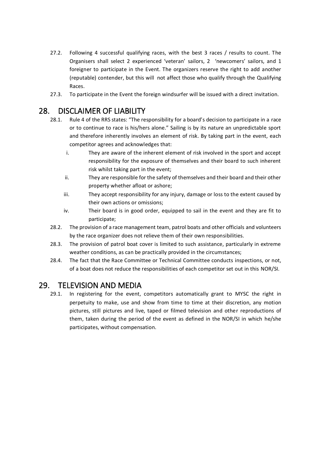- 27.2. Following 4 successful qualifying races, with the best 3 races / results to count. The Organisers shall select 2 experienced 'veteran' sailors, 2 'newcomers' sailors, and 1 foreigner to participate in the Event. The organizers reserve the right to add another (reputable) contender, but this will not affect those who qualify through the Qualifying Races.
- 27.3. To participate in the Event the foreign windsurfer will be issued with a direct invitation.

## 28. DISCLAIMER OF LIABILITY

- 28.1. Rule 4 of the RRS states: "The responsibility for a board's decision to participate in a race or to continue to race is his/hers alone." Sailing is by its nature an unpredictable sport and therefore inherently involves an element of risk. By taking part in the event, each competitor agrees and acknowledges that:
	- i. They are aware of the inherent element of risk involved in the sport and accept responsibility for the exposure of themselves and their board to such inherent risk whilst taking part in the event;
	- ii. They are responsible for the safety of themselves and their board and their other property whether afloat or ashore;
	- iii. They accept responsibility for any injury, damage or loss to the extent caused by their own actions or omissions;
	- iv. Their board is in good order, equipped to sail in the event and they are fit to participate;
- 28.2. The provision of a race management team, patrol boats and other officials and volunteers by the race organizer does not relieve them of their own responsibilities.
- 28.3. The provision of patrol boat cover is limited to such assistance, particularly in extreme weather conditions, as can be practically provided in the circumstances;
- 28.4. The fact that the Race Committee or Technical Committee conducts inspections, or not, of a boat does not reduce the responsibilities of each competitor set out in this NOR/SI.

## 29. TELEVISION AND MEDIA

29.1. In registering for the event, competitors automatically grant to MYSC the right in perpetuity to make, use and show from time to time at their discretion, any motion pictures, still pictures and live, taped or filmed television and other reproductions of them, taken during the period of the event as defined in the NOR/SI in which he/she participates, without compensation.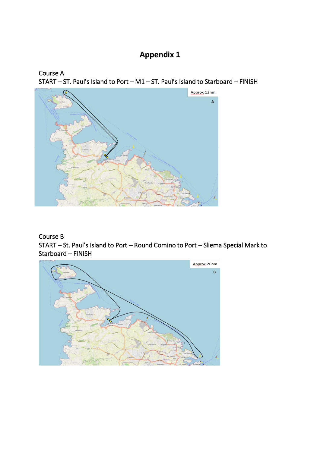# **Appendix 1**





#### Course B

START – St. Paul's Island to Port – Round Comino to Port – Sliema Special Mark to Starboard – FINISH

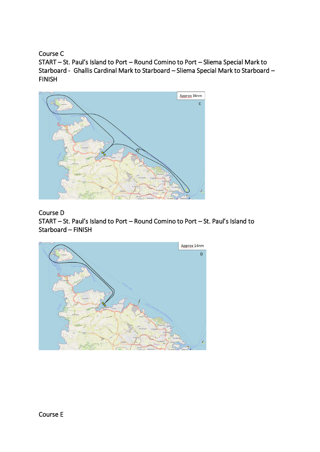Course C

START – St. Paul's Island to Port – Round Comino to Port – Sliema Special Mark to Starboard - Ghallis Cardinal Mark to Starboard – Sliema Special Mark to Starboard – FINISH



### Course D

START – St. Paul's Island to Port – Round Comino to Port – St. Paul's Island to Starboard – FINISH